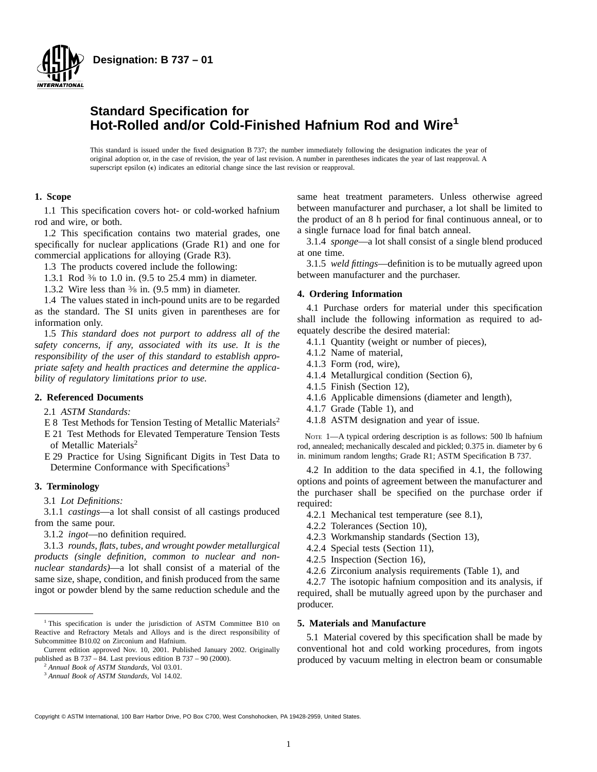

# **Standard Specification for Hot-Rolled and/or Cold-Finished Hafnium Rod and Wire<sup>1</sup>**

This standard is issued under the fixed designation B 737; the number immediately following the designation indicates the year of original adoption or, in the case of revision, the year of last revision. A number in parentheses indicates the year of last reapproval. A superscript epsilon  $(\epsilon)$  indicates an editorial change since the last revision or reapproval.

# **1. Scope**

1.1 This specification covers hot- or cold-worked hafnium rod and wire, or both.

1.2 This specification contains two material grades, one specifically for nuclear applications (Grade R1) and one for commercial applications for alloying (Grade R3).

1.3 The products covered include the following:

1.3.1 Rod 3⁄8 to 1.0 in. (9.5 to 25.4 mm) in diameter.

1.3.2 Wire less than 3⁄8 in. (9.5 mm) in diameter.

1.4 The values stated in inch-pound units are to be regarded as the standard. The SI units given in parentheses are for information only.

1.5 *This standard does not purport to address all of the safety concerns, if any, associated with its use. It is the responsibility of the user of this standard to establish appropriate safety and health practices and determine the applicability of regulatory limitations prior to use.*

# **2. Referenced Documents**

2.1 *ASTM Standards:*

- E 8 Test Methods for Tension Testing of Metallic Materials<sup>2</sup>
- E 21 Test Methods for Elevated Temperature Tension Tests of Metallic Materials<sup>2</sup>

E 29 Practice for Using Significant Digits in Test Data to Determine Conformance with Specifications<sup>3</sup>

# **3. Terminology**

3.1 *Lot Definitions:*

3.1.1 *castings*—a lot shall consist of all castings produced from the same pour.

3.1.2 *ingot*—no definition required.

3.1.3 *rounds, flats, tubes, and wrought powder metallurgical products (single definition, common to nuclear and nonnuclear standards)*—a lot shall consist of a material of the same size, shape, condition, and finish produced from the same ingot or powder blend by the same reduction schedule and the

<sup>2</sup> *Annual Book of ASTM Standards,* Vol 03.01.

same heat treatment parameters. Unless otherwise agreed between manufacturer and purchaser, a lot shall be limited to the product of an 8 h period for final continuous anneal, or to a single furnace load for final batch anneal.

3.1.4 *sponge*—a lot shall consist of a single blend produced at one time.

3.1.5 *weld fittings*—definition is to be mutually agreed upon between manufacturer and the purchaser.

# **4. Ordering Information**

4.1 Purchase orders for material under this specification shall include the following information as required to adequately describe the desired material:

4.1.1 Quantity (weight or number of pieces),

- 4.1.2 Name of material,
- 4.1.3 Form (rod, wire),
- 4.1.4 Metallurgical condition (Section 6),
- 4.1.5 Finish (Section 12),
- 4.1.6 Applicable dimensions (diameter and length),
- 4.1.7 Grade (Table 1), and
- 4.1.8 ASTM designation and year of issue.

NOTE 1—A typical ordering description is as follows: 500 lb hafnium rod, annealed; mechanically descaled and pickled; 0.375 in. diameter by 6 in. minimum random lengths; Grade R1; ASTM Specification B 737.

4.2 In addition to the data specified in 4.1, the following options and points of agreement between the manufacturer and the purchaser shall be specified on the purchase order if required:

- 4.2.1 Mechanical test temperature (see 8.1),
- 4.2.2 Tolerances (Section 10),
- 4.2.3 Workmanship standards (Section 13),
- 4.2.4 Special tests (Section 11),
- 4.2.5 Inspection (Section 16),
- 4.2.6 Zirconium analysis requirements (Table 1), and

4.2.7 The isotopic hafnium composition and its analysis, if required, shall be mutually agreed upon by the purchaser and producer.

# **5. Materials and Manufacture**

5.1 Material covered by this specification shall be made by conventional hot and cold working procedures, from ingots produced by vacuum melting in electron beam or consumable

<sup>&</sup>lt;sup>1</sup> This specification is under the jurisdiction of ASTM Committee B10 on Reactive and Refractory Metals and Alloys and is the direct responsibility of Subcommittee B10.02 on Zirconium and Hafnium.

Current edition approved Nov. 10, 2001. Published January 2002. Originally published as B 737 – 84. Last previous edition B 737 – 90 (2000).

<sup>3</sup> *Annual Book of ASTM Standards*, Vol 14.02.

Copyright © ASTM International, 100 Barr Harbor Drive, PO Box C700, West Conshohocken, PA 19428-2959, United States.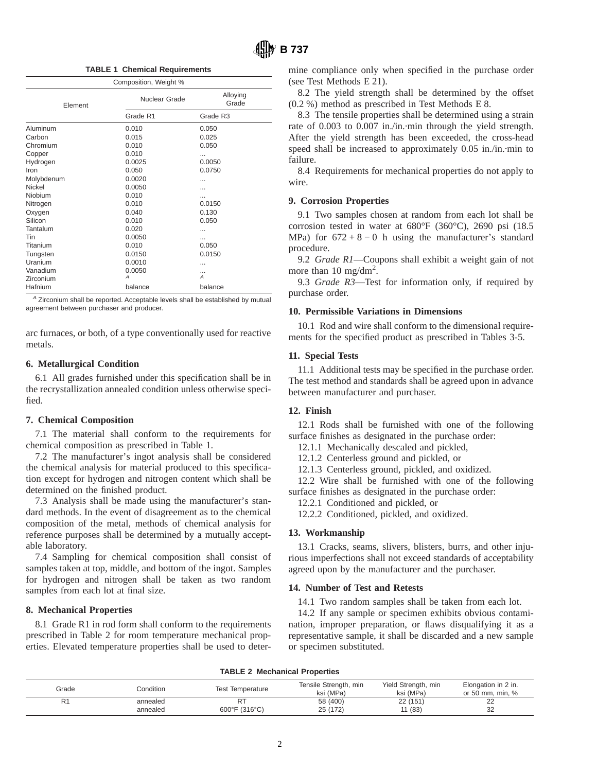**TABLE 1 Chemical Requirements**

| Composition, Weight % |               |                      |  |
|-----------------------|---------------|----------------------|--|
| Element               | Nuclear Grade | Alloying<br>Grade    |  |
|                       | Grade R1      | Grade R <sub>3</sub> |  |
| Aluminum              | 0.010         | 0.050                |  |
| Carbon                | 0.015         | 0.025                |  |
| Chromium              | 0.010         | 0.050                |  |
| Copper                | 0.010         |                      |  |
| Hydrogen              | 0.0025        | 0.0050               |  |
| Iron                  | 0.050         | 0.0750               |  |
| Molybdenum            | 0.0020        |                      |  |
| Nickel                | 0.0050        |                      |  |
| Niobium               | 0.010         |                      |  |
| Nitrogen              | 0.010         | 0.0150               |  |
| Oxygen                | 0.040         | 0.130                |  |
| Silicon               | 0.010         | 0.050                |  |
| Tantalum              | 0.020         |                      |  |
| Tin                   | 0.0050        |                      |  |
| Titanium              | 0.010         | 0.050                |  |
| Tungsten              | 0.0150        | 0.0150               |  |
| Uranium               | 0.0010        | .                    |  |
| Vanadium              | 0.0050        |                      |  |
| Zirconium             | А             | $\overline{A}$       |  |
| Hafnium               | balance       | balance              |  |

 $A$  Zirconium shall be reported. Acceptable levels shall be established by mutual agreement between purchaser and producer.

arc furnaces, or both, of a type conventionally used for reactive metals.

# **6. Metallurgical Condition**

6.1 All grades furnished under this specification shall be in the recrystallization annealed condition unless otherwise specified.

#### **7. Chemical Composition**

7.1 The material shall conform to the requirements for chemical composition as prescribed in Table 1.

7.2 The manufacturer's ingot analysis shall be considered the chemical analysis for material produced to this specification except for hydrogen and nitrogen content which shall be determined on the finished product.

7.3 Analysis shall be made using the manufacturer's standard methods. In the event of disagreement as to the chemical composition of the metal, methods of chemical analysis for reference purposes shall be determined by a mutually acceptable laboratory.

7.4 Sampling for chemical composition shall consist of samples taken at top, middle, and bottom of the ingot. Samples for hydrogen and nitrogen shall be taken as two random samples from each lot at final size.

# **8. Mechanical Properties**

8.1 Grade R1 in rod form shall conform to the requirements prescribed in Table 2 for room temperature mechanical properties. Elevated temperature properties shall be used to determine compliance only when specified in the purchase order (see Test Methods E 21).

8.2 The yield strength shall be determined by the offset (0.2 %) method as prescribed in Test Methods E 8.

8.3 The tensile properties shall be determined using a strain rate of 0.003 to 0.007 in./in.·min through the yield strength. After the yield strength has been exceeded, the cross-head speed shall be increased to approximately 0.05 in./in.·min to failure.

8.4 Requirements for mechanical properties do not apply to wire.

## **9. Corrosion Properties**

9.1 Two samples chosen at random from each lot shall be corrosion tested in water at 680°F (360°C), 2690 psi (18.5 MPa) for  $672+8-0$  h using the manufacturer's standard procedure.

9.2 *Grade R1*—Coupons shall exhibit a weight gain of not more than 10 mg/dm<sup>2</sup>.

9.3 *Grade R3*—Test for information only, if required by purchase order.

# **10. Permissible Variations in Dimensions**

10.1 Rod and wire shall conform to the dimensional requirements for the specified product as prescribed in Tables 3-5.

# **11. Special Tests**

11.1 Additional tests may be specified in the purchase order. The test method and standards shall be agreed upon in advance between manufacturer and purchaser.

#### **12. Finish**

12.1 Rods shall be furnished with one of the following surface finishes as designated in the purchase order:

12.1.1 Mechanically descaled and pickled,

12.1.2 Centerless ground and pickled, or

12.1.3 Centerless ground, pickled, and oxidized.

12.2 Wire shall be furnished with one of the following surface finishes as designated in the purchase order:

12.2.1 Conditioned and pickled, or

12.2.2 Conditioned, pickled, and oxidized.

# **13. Workmanship**

13.1 Cracks, seams, slivers, blisters, burrs, and other injurious imperfections shall not exceed standards of acceptability agreed upon by the manufacturer and the purchaser.

## **14. Number of Test and Retests**

14.1 Two random samples shall be taken from each lot.

14.2 If any sample or specimen exhibits obvious contamination, improper preparation, or flaws disqualifying it as a representative sample, it shall be discarded and a new sample or specimen substituted.

## **TABLE 2 Mechanical Properties**

| Grade | Condition | <b>Test Temperature</b>            | Tensile Strength, min<br>ksi (MPa) | Yield Strength, min<br>ksi (MPa) | Elongation in 2 in.<br>or 50 mm. min. % |
|-------|-----------|------------------------------------|------------------------------------|----------------------------------|-----------------------------------------|
|       | annealed  |                                    | 58 (400)                           | 22 (151)                         | nn<br>∠∠                                |
|       | annealed  | $600^{\circ}$ F (316 $^{\circ}$ C) | 25 (172)                           | 11 (83)                          | 32                                      |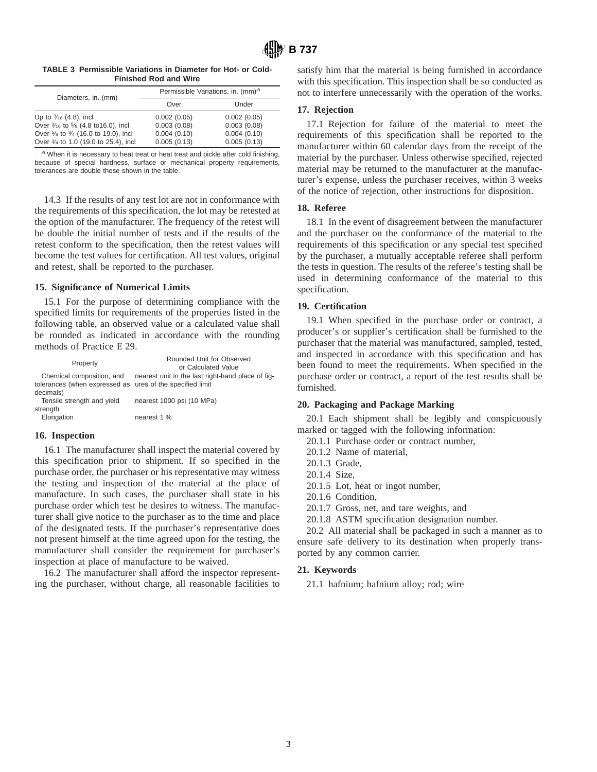**TABLE 3 Permissible Variations in Diameter for Hot- or Cold-Finished Rod and Wire**

| Diameters, in. (mm)                  | Permissible Variations, in. $(mm)^A$ |             |  |
|--------------------------------------|--------------------------------------|-------------|--|
|                                      | Over                                 | Under       |  |
| Up to $\frac{3}{16}$ (4.8), incl     | 0.002(0.05)                          | 0.002(0.05) |  |
| Over 3/16 to 5/8 (4.8 to 16.0), incl | 0.003(0.08)                          | 0.003(0.08) |  |
| Over 5/8 to 3/4 (16.0 to 19.0), incl | 0.004(0.10)                          | 0.004(0.10) |  |
| Over 3/4 to 1.0 (19.0 to 25.4), incl | 0.005(0.13)                          | 0.005(0.13) |  |

<sup>A</sup> When it is necessary to heat treat or heat treat and pickle after cold finishing, because of special hardness, surface or mechanical property requirements, tolerances are double those shown in the table.

14.3 If the results of any test lot are not in conformance with the requirements of this specification, the lot may be retested at the option of the manufacturer. The frequency of the retest will be double the initial number of tests and if the results of the retest conform to the specification, then the retest values will become the test values for certification. All test values, original and retest, shall be reported to the purchaser.

## **15. Significance of Numerical Limits**

15.1 For the purpose of determining compliance with the specified limits for requirements of the properties listed in the following table, an observed value or a calculated value shall be rounded as indicated in accordance with the rounding methods of Practice E 29.

| Property                                                  | Rounded Unit for Observed<br>or Calculated Value  |
|-----------------------------------------------------------|---------------------------------------------------|
| Chemical composition, and                                 | nearest unit in the last right-hand place of fig- |
| tolerances (when expressed as ures of the specified limit |                                                   |
| decimals)                                                 |                                                   |
| Tensile strength and yield                                | nearest 1000 psi (10 MPa)                         |
| strength                                                  |                                                   |
| Elongation                                                | nearest 1 %                                       |

## **16. Inspection**

16.1 The manufacturer shall inspect the material covered by this specification prior to shipment. If so specified in the purchase order, the purchaser or his representative may witness the testing and inspection of the material at the place of manufacture. In such cases, the purchaser shall state in his purchase order which test he desires to witness. The manufacturer shall give notice to the purchaser as to the time and place of the designated tests. If the purchaser's representative does not present himself at the time agreed upon for the testing, the manufacturer shall consider the requirement for purchaser's inspection at place of manufacture to be waived.

16.2 The manufacturer shall afford the inspector representing the purchaser, without charge, all reasonable facilities to satisfy him that the material is being furnished in accordance with this specification. This inspection shall be so conducted as not to interfere unnecessarily with the operation of the works.

#### **17. Rejection**

17.1 Rejection for failure of the material to meet the requirements of this specification shall be reported to the manufacturer within 60 calendar days from the receipt of the material by the purchaser. Unless otherwise specified, rejected material may be returned to the manufacturer at the manufacturer's expense, unless the purchaser receives, within 3 weeks of the notice of rejection, other instructions for disposition.

## **18. Referee**

18.1 In the event of disagreement between the manufacturer and the purchaser on the conformance of the material to the requirements of this specification or any special test specified by the purchaser, a mutually acceptable referee shall perform the tests in question. The results of the referee's testing shall be used in determining conformance of the material to this specification.

# **19. Certification**

19.1 When specified in the purchase order or contract, a producer's or supplier's certification shall be furnished to the purchaser that the material was manufactured, sampled, tested, and inspected in accordance with this specification and has been found to meet the requirements. When specified in the purchase order or contract, a report of the test results shall be furnished.

## **20. Packaging and Package Marking**

20.1 Each shipment shall be legibly and conspicuously marked or tagged with the following information:

- 20.1.1 Purchase order or contract number,
- 20.1.2 Name of material,
- 20.1.3 Grade,
- 20.1.4 Size,
- 20.1.5 Lot, heat or ingot number,
- 20.1.6 Condition,
- 20.1.7 Gross, net, and tare weights, and
- 20.1.8 ASTM specification designation number.

20.2 All material shall be packaged in such a manner as to ensure safe delivery to its destination when properly transported by any common carrier.

#### **21. Keywords**

21.1 hafnium; hafnium alloy; rod; wire